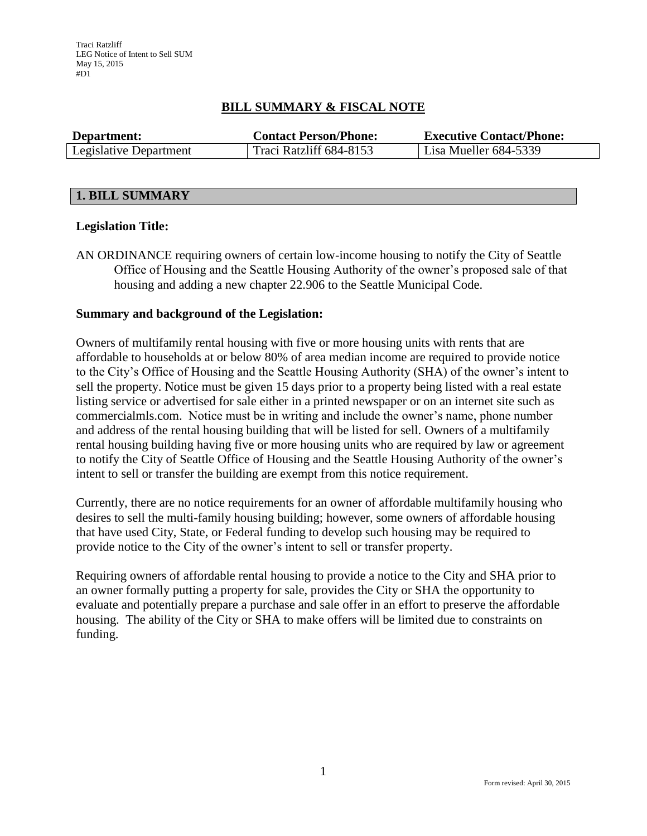# **BILL SUMMARY & FISCAL NOTE**

| Department:            | <b>Contact Person/Phone:</b> | <b>Executive Contact/Phone:</b> |  |  |
|------------------------|------------------------------|---------------------------------|--|--|
| Legislative Department | Traci Ratzliff 684-8153      | Lisa Mueller 684-5339           |  |  |

## **1. BILL SUMMARY**

## **Legislation Title:**

AN ORDINANCE requiring owners of certain low-income housing to notify the City of Seattle Office of Housing and the Seattle Housing Authority of the owner's proposed sale of that housing and adding a new chapter 22.906 to the Seattle Municipal Code.

## **Summary and background of the Legislation:**

Owners of multifamily rental housing with five or more housing units with rents that are affordable to households at or below 80% of area median income are required to provide notice to the City's Office of Housing and the Seattle Housing Authority (SHA) of the owner's intent to sell the property. Notice must be given 15 days prior to a property being listed with a real estate listing service or advertised for sale either in a printed newspaper or on an internet site such as commercialmls.com. Notice must be in writing and include the owner's name, phone number and address of the rental housing building that will be listed for sell. Owners of a multifamily rental housing building having five or more housing units who are required by law or agreement to notify the City of Seattle Office of Housing and the Seattle Housing Authority of the owner's intent to sell or transfer the building are exempt from this notice requirement.

Currently, there are no notice requirements for an owner of affordable multifamily housing who desires to sell the multi-family housing building; however, some owners of affordable housing that have used City, State, or Federal funding to develop such housing may be required to provide notice to the City of the owner's intent to sell or transfer property.

Requiring owners of affordable rental housing to provide a notice to the City and SHA prior to an owner formally putting a property for sale, provides the City or SHA the opportunity to evaluate and potentially prepare a purchase and sale offer in an effort to preserve the affordable housing. The ability of the City or SHA to make offers will be limited due to constraints on funding.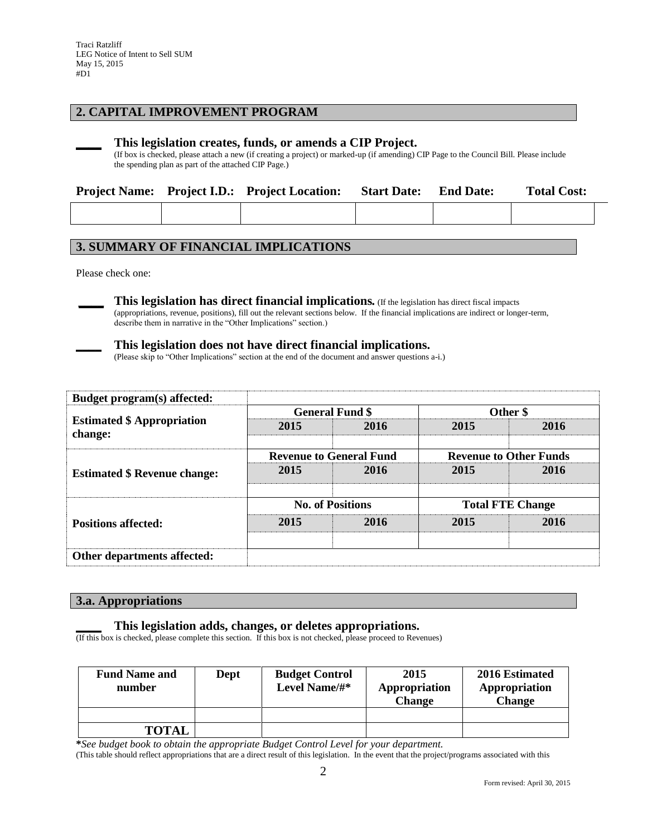## **2. CAPITAL IMPROVEMENT PROGRAM**

#### **\_\_\_\_ This legislation creates, funds, or amends a CIP Project.**

(If box is checked, please attach a new (if creating a project) or marked-up (if amending) CIP Page to the Council Bill. Please include the spending plan as part of the attached CIP Page.)

|  | <b>Project Name:</b> Project I.D.: Project Location: | <b>Start Date:</b> | <b>End Date:</b> | <b>Total Cost:</b> |  |
|--|------------------------------------------------------|--------------------|------------------|--------------------|--|
|  |                                                      |                    |                  |                    |  |

## **3. SUMMARY OF FINANCIAL IMPLICATIONS**

Please check one:

**\_\_\_\_ This legislation has direct financial implications***.* (If the legislation has direct fiscal impacts (appropriations, revenue, positions), fill out the relevant sections below. If the financial implications are indirect or longer-term, describe them in narrative in the "Other Implications" section.)

#### **\_\_\_\_ This legislation does not have direct financial implications.**

(Please skip to "Other Implications" section at the end of the document and answer questions a-i.)

| Budget program(s) affected:                  |                         |                                |                               |      |  |
|----------------------------------------------|-------------------------|--------------------------------|-------------------------------|------|--|
| <b>Estimated \$ Appropriation</b><br>change: |                         | <b>General Fund \$</b>         | Other \$                      |      |  |
|                                              | 2015                    | 2016                           | 2015                          | 2016 |  |
|                                              |                         | <b>Revenue to General Fund</b> | <b>Revenue to Other Funds</b> |      |  |
| <b>Estimated \$ Revenue change:</b>          | 2015                    | 2016                           | 2015                          | 2016 |  |
|                                              | <b>No. of Positions</b> |                                | <b>Total FTE Change</b>       |      |  |
| <b>Positions affected:</b>                   | 2015                    | 2016                           | 2015                          | 2016 |  |
| Other departments affected:                  |                         |                                |                               |      |  |

#### **3.a. Appropriations**

#### **\_\_\_\_ This legislation adds, changes, or deletes appropriations.**

(If this box is checked, please complete this section. If this box is not checked, please proceed to Revenues)

| <b>Fund Name and</b><br>number | Dept | <b>Budget Control</b><br>Level Name/#* | 2015<br>Appropriation<br><b>Change</b> | 2016 Estimated<br>Appropriation<br><b>Change</b> |
|--------------------------------|------|----------------------------------------|----------------------------------------|--------------------------------------------------|
|                                |      |                                        |                                        |                                                  |
| <b>TOTAL</b>                   |      |                                        |                                        |                                                  |

**\****See budget book to obtain the appropriate Budget Control Level for your department.*

(This table should reflect appropriations that are a direct result of this legislation. In the event that the project/programs associated with this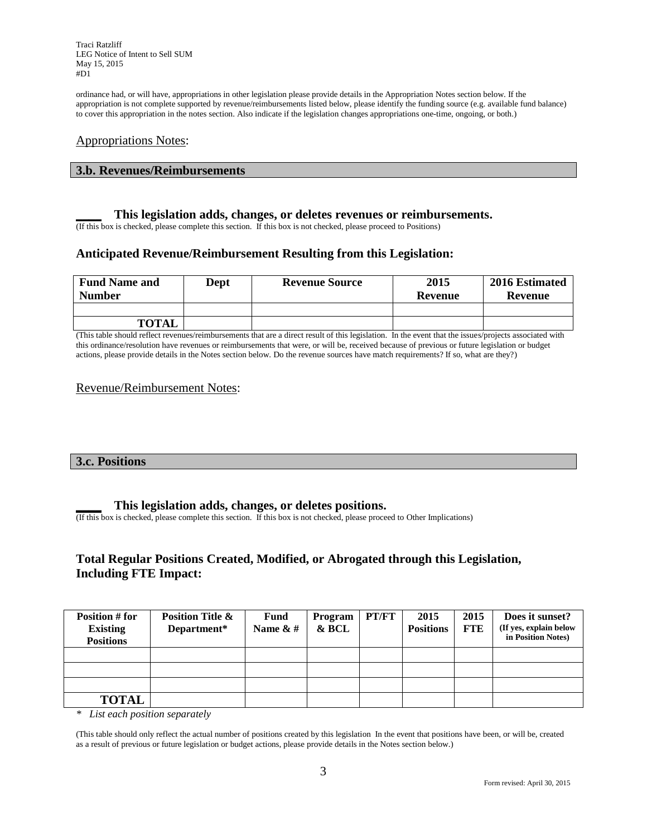Traci Ratzliff LEG Notice of Intent to Sell SUM May 15, 2015 #D1

ordinance had, or will have, appropriations in other legislation please provide details in the Appropriation Notes section below. If the appropriation is not complete supported by revenue/reimbursements listed below, please identify the funding source (e.g. available fund balance) to cover this appropriation in the notes section. Also indicate if the legislation changes appropriations one-time, ongoing, or both.)

### Appropriations Notes:

#### **3.b. Revenues/Reimbursements**

#### **\_\_\_\_ This legislation adds, changes, or deletes revenues or reimbursements.**

(If this box is checked, please complete this section. If this box is not checked, please proceed to Positions)

## **Anticipated Revenue/Reimbursement Resulting from this Legislation:**

| <b>Fund Name and</b><br><b>Number</b> | Dept | <b>Revenue Source</b> | 2015<br>Revenue | 2016 Estimated<br>Revenue |
|---------------------------------------|------|-----------------------|-----------------|---------------------------|
|                                       |      |                       |                 |                           |
| <b>TOTAL</b>                          |      |                       |                 |                           |

(This table should reflect revenues/reimbursements that are a direct result of this legislation. In the event that the issues/projects associated with this ordinance/resolution have revenues or reimbursements that were, or will be, received because of previous or future legislation or budget actions, please provide details in the Notes section below. Do the revenue sources have match requirements? If so, what are they?)

#### Revenue/Reimbursement Notes:

#### **3.c. Positions**

#### **\_\_\_\_ This legislation adds, changes, or deletes positions.**

(If this box is checked, please complete this section. If this box is not checked, please proceed to Other Implications)

## **Total Regular Positions Created, Modified, or Abrogated through this Legislation, Including FTE Impact:**

| Position # for<br><b>Existing</b><br><b>Positions</b> | <b>Position Title &amp;</b><br>Department* | Fund<br>Name $\&$ # | Program<br>& BCL | PT/FT | 2015<br><b>Positions</b> | 2015<br><b>FTE</b> | Does it sunset?<br>(If yes, explain below<br>in Position Notes) |
|-------------------------------------------------------|--------------------------------------------|---------------------|------------------|-------|--------------------------|--------------------|-----------------------------------------------------------------|
|                                                       |                                            |                     |                  |       |                          |                    |                                                                 |
|                                                       |                                            |                     |                  |       |                          |                    |                                                                 |
|                                                       |                                            |                     |                  |       |                          |                    |                                                                 |
| <b>TOTAL</b>                                          |                                            |                     |                  |       |                          |                    |                                                                 |

*\* List each position separately*

(This table should only reflect the actual number of positions created by this legislation In the event that positions have been, or will be, created as a result of previous or future legislation or budget actions, please provide details in the Notes section below.)